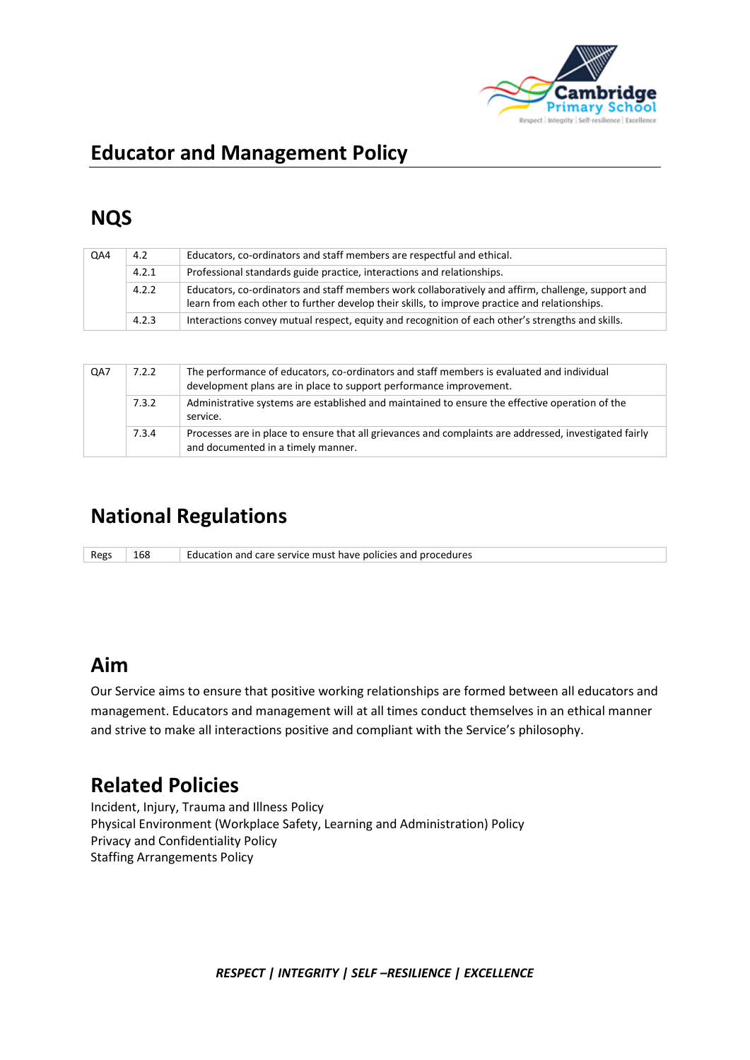

# **Educator and Management Policy**

# **NQS**

| QA4 | 4.2   | Educators, co-ordinators and staff members are respectful and ethical.                                                                                                                              |  |  |
|-----|-------|-----------------------------------------------------------------------------------------------------------------------------------------------------------------------------------------------------|--|--|
|     | 4.2.1 | Professional standards guide practice, interactions and relationships.                                                                                                                              |  |  |
|     | 4.2.2 | Educators, co-ordinators and staff members work collaboratively and affirm, challenge, support and<br>learn from each other to further develop their skills, to improve practice and relationships. |  |  |
|     | 4.2.3 | Interactions convey mutual respect, equity and recognition of each other's strengths and skills.                                                                                                    |  |  |

| QA7 | 7.2.2 | The performance of educators, co-ordinators and staff members is evaluated and individual<br>development plans are in place to support performance improvement. |  |  |
|-----|-------|-----------------------------------------------------------------------------------------------------------------------------------------------------------------|--|--|
|     | 7.3.2 | Administrative systems are established and maintained to ensure the effective operation of the<br>service.                                                      |  |  |
|     | 7.3.4 | Processes are in place to ensure that all grievances and complaints are addressed, investigated fairly<br>and documented in a timely manner.                    |  |  |

## **National Regulations**

Regs 168 Education and care service must have policies and procedures

## **Aim**

Our Service aims to ensure that positive working relationships are formed between all educators and management. Educators and management will at all times conduct themselves in an ethical manner and strive to make all interactions positive and compliant with the Service's philosophy.

# **Related Policies**

Incident, Injury, Trauma and Illness Policy Physical Environment (Workplace Safety, Learning and Administration) Policy Privacy and Confidentiality Policy Staffing Arrangements Policy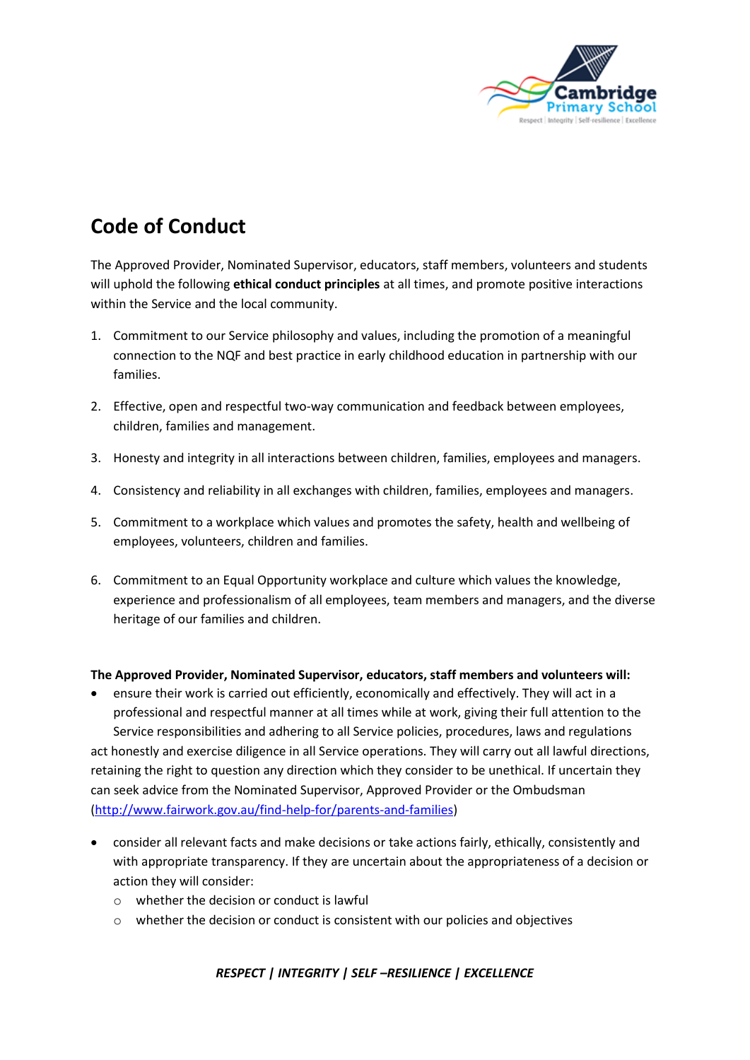

# **Code of Conduct**

The Approved Provider, Nominated Supervisor, educators, staff members, volunteers and students will uphold the following **ethical conduct principles** at all times, and promote positive interactions within the Service and the local community.

- 1. Commitment to our Service philosophy and values, including the promotion of a meaningful connection to the NQF and best practice in early childhood education in partnership with our families.
- 2. Effective, open and respectful two-way communication and feedback between employees, children, families and management.
- 3. Honesty and integrity in all interactions between children, families, employees and managers.
- 4. Consistency and reliability in all exchanges with children, families, employees and managers.
- 5. Commitment to a workplace which values and promotes the safety, health and wellbeing of employees, volunteers, children and families.
- 6. Commitment to an Equal Opportunity workplace and culture which values the knowledge, experience and professionalism of all employees, team members and managers, and the diverse heritage of our families and children.

#### **The Approved Provider, Nominated Supervisor, educators, staff members and volunteers will:**

- ensure their work is carried out efficiently, economically and effectively. They will act in a professional and respectful manner at all times while at work, giving their full attention to the Service responsibilities and adhering to all Service policies, procedures, laws and regulations act honestly and exercise diligence in all Service operations. They will carry out all lawful directions, retaining the right to question any direction which they consider to be unethical. If uncertain they can seek advice from the Nominated Supervisor, Approved Provider or the Ombudsman [\(http://www.fairwork.gov.au/find-help-for/parents-and-families\)](http://www.fairwork.gov.au/find-help-for/parents-and-families)
- consider all relevant facts and make decisions or take actions fairly, ethically, consistently and with appropriate transparency. If they are uncertain about the appropriateness of a decision or action they will consider:
	- $\circ$  whether the decision or conduct is lawful
	- o whether the decision or conduct is consistent with our policies and objectives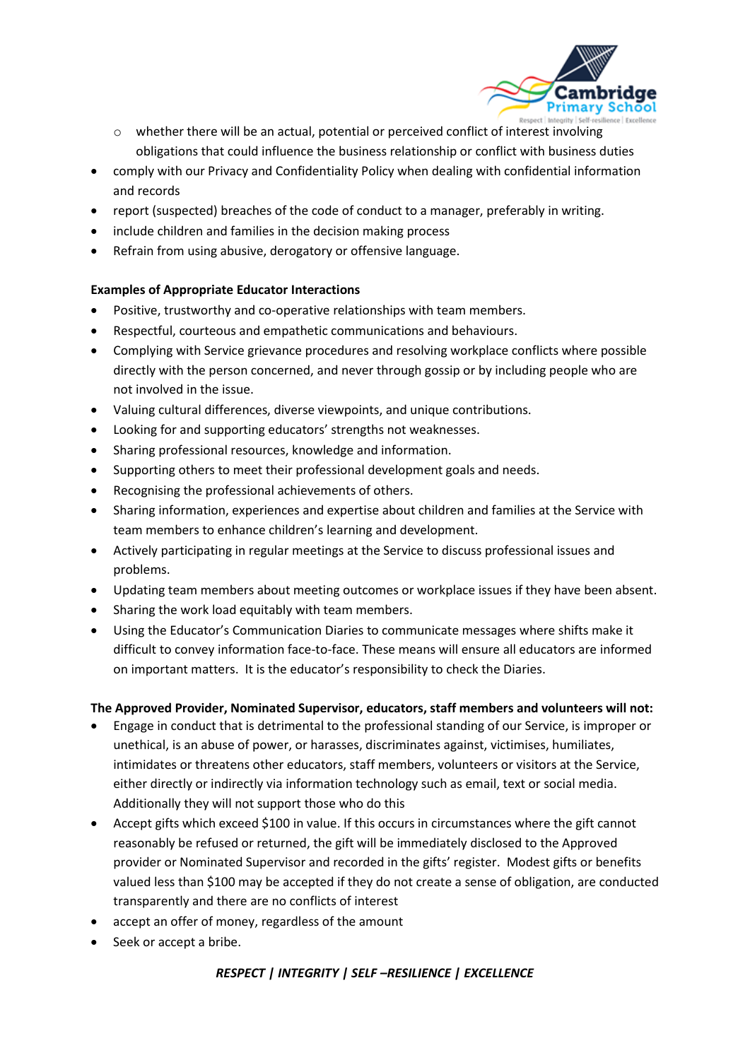

- o whether there will be an actual, potential or perceived conflict of interest involving obligations that could influence the business relationship or conflict with business duties
- comply with our Privacy and Confidentiality Policy when dealing with confidential information and records
- report (suspected) breaches of the code of conduct to a manager, preferably in writing.
- include children and families in the decision making process
- Refrain from using abusive, derogatory or offensive language.

#### **Examples of Appropriate Educator Interactions**

- Positive, trustworthy and co-operative relationships with team members.
- Respectful, courteous and empathetic communications and behaviours.
- Complying with Service grievance procedures and resolving workplace conflicts where possible directly with the person concerned, and never through gossip or by including people who are not involved in the issue.
- Valuing cultural differences, diverse viewpoints, and unique contributions.
- Looking for and supporting educators' strengths not weaknesses.
- Sharing professional resources, knowledge and information.
- Supporting others to meet their professional development goals and needs.
- Recognising the professional achievements of others.
- Sharing information, experiences and expertise about children and families at the Service with team members to enhance children's learning and development.
- Actively participating in regular meetings at the Service to discuss professional issues and problems.
- Updating team members about meeting outcomes or workplace issues if they have been absent.
- Sharing the work load equitably with team members.
- Using the Educator's Communication Diaries to communicate messages where shifts make it difficult to convey information face-to-face. These means will ensure all educators are informed on important matters. It is the educator's responsibility to check the Diaries.

#### **The Approved Provider, Nominated Supervisor, educators, staff members and volunteers will not:**

- Engage in conduct that is detrimental to the professional standing of our Service, is improper or unethical, is an abuse of power, or harasses, discriminates against, victimises, humiliates, intimidates or threatens other educators, staff members, volunteers or visitors at the Service, either directly or indirectly via information technology such as email, text or social media. Additionally they will not support those who do this
- Accept gifts which exceed \$100 in value. If this occurs in circumstances where the gift cannot reasonably be refused or returned, the gift will be immediately disclosed to the Approved provider or Nominated Supervisor and recorded in the gifts' register. Modest gifts or benefits valued less than \$100 may be accepted if they do not create a sense of obligation, are conducted transparently and there are no conflicts of interest
- accept an offer of money, regardless of the amount
- Seek or accept a bribe.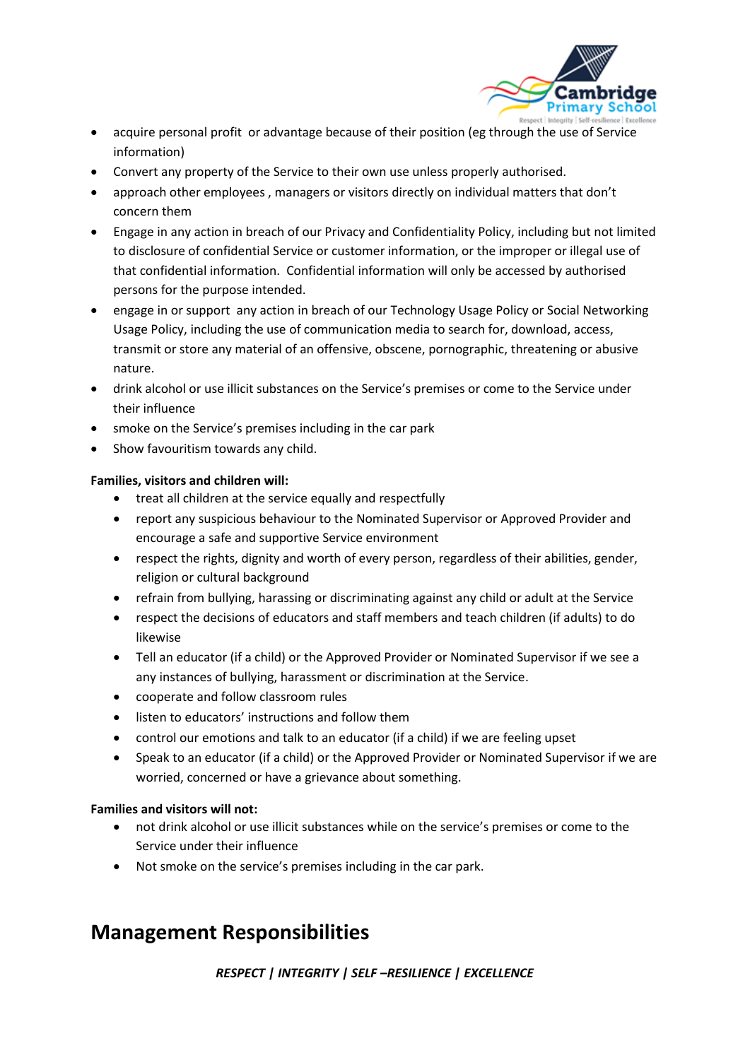

- acquire personal profit or advantage because of their position (eg through the use of Service information)
- Convert any property of the Service to their own use unless properly authorised.
- approach other employees , managers or visitors directly on individual matters that don't concern them
- Engage in any action in breach of our Privacy and Confidentiality Policy, including but not limited to disclosure of confidential Service or customer information, or the improper or illegal use of that confidential information. Confidential information will only be accessed by authorised persons for the purpose intended.
- engage in or support any action in breach of our Technology Usage Policy or Social Networking Usage Policy, including the use of communication media to search for, download, access, transmit or store any material of an offensive, obscene, pornographic, threatening or abusive nature.
- drink alcohol or use illicit substances on the Service's premises or come to the Service under their influence
- smoke on the Service's premises including in the car park
- Show favouritism towards any child.

#### **Families, visitors and children will:**

- treat all children at the service equally and respectfully
- report any suspicious behaviour to the Nominated Supervisor or Approved Provider and encourage a safe and supportive Service environment
- respect the rights, dignity and worth of every person, regardless of their abilities, gender, religion or cultural background
- refrain from bullying, harassing or discriminating against any child or adult at the Service
- respect the decisions of educators and staff members and teach children (if adults) to do likewise
- Tell an educator (if a child) or the Approved Provider or Nominated Supervisor if we see a any instances of bullying, harassment or discrimination at the Service.
- cooperate and follow classroom rules
- listen to educators' instructions and follow them
- control our emotions and talk to an educator (if a child) if we are feeling upset
- Speak to an educator (if a child) or the Approved Provider or Nominated Supervisor if we are worried, concerned or have a grievance about something.

#### **Families and visitors will not:**

- not drink alcohol or use illicit substances while on the service's premises or come to the Service under their influence
- Not smoke on the service's premises including in the car park.

## **Management Responsibilities**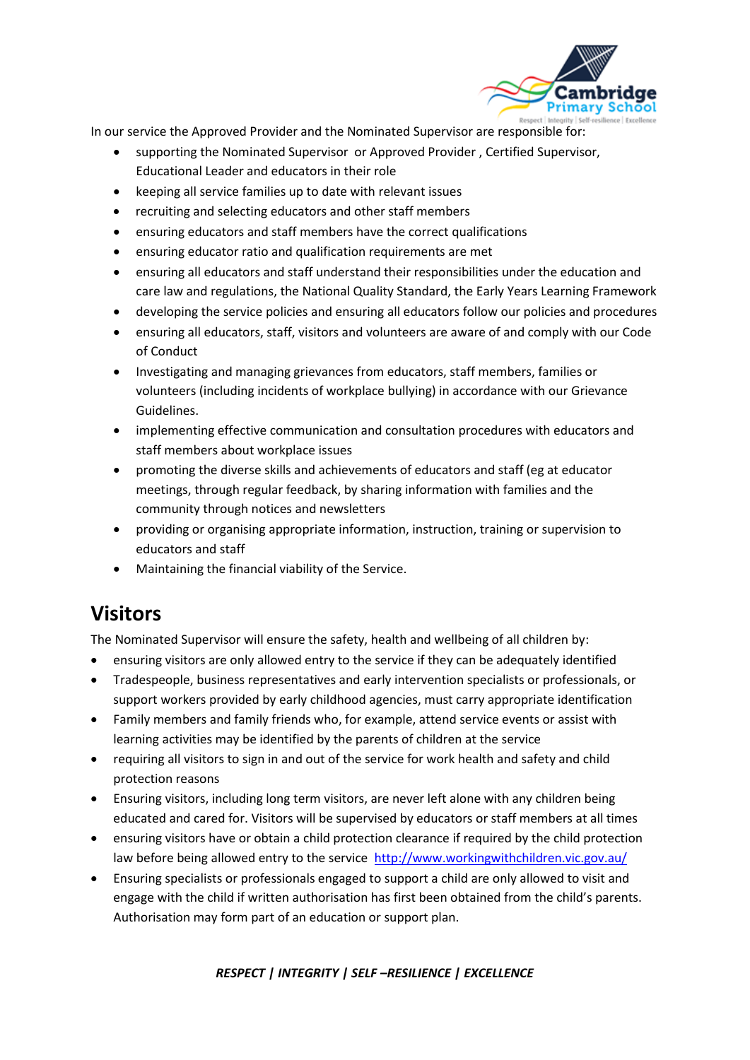

In our service the Approved Provider and the Nominated Supervisor are responsible for:

- supporting the Nominated Supervisor or Approved Provider , Certified Supervisor, Educational Leader and educators in their role
- keeping all service families up to date with relevant issues
- recruiting and selecting educators and other staff members
- ensuring educators and staff members have the correct qualifications
- ensuring educator ratio and qualification requirements are met
- ensuring all educators and staff understand their responsibilities under the education and care law and regulations, the National Quality Standard, the Early Years Learning Framework
- developing the service policies and ensuring all educators follow our policies and procedures
- ensuring all educators, staff, visitors and volunteers are aware of and comply with our Code of Conduct
- Investigating and managing grievances from educators, staff members, families or volunteers (including incidents of workplace bullying) in accordance with our Grievance Guidelines.
- implementing effective communication and consultation procedures with educators and staff members about workplace issues
- promoting the diverse skills and achievements of educators and staff (eg at educator meetings, through regular feedback, by sharing information with families and the community through notices and newsletters
- providing or organising appropriate information, instruction, training or supervision to educators and staff
- Maintaining the financial viability of the Service.

## **Visitors**

The Nominated Supervisor will ensure the safety, health and wellbeing of all children by:

- ensuring visitors are only allowed entry to the service if they can be adequately identified
- Tradespeople, business representatives and early intervention specialists or professionals, or support workers provided by early childhood agencies, must carry appropriate identification
- Family members and family friends who, for example, attend service events or assist with learning activities may be identified by the parents of children at the service
- requiring all visitors to sign in and out of the service for work health and safety and child protection reasons
- Ensuring visitors, including long term visitors, are never left alone with any children being educated and cared for. Visitors will be supervised by educators or staff members at all times
- ensuring visitors have or obtain a child protection clearance if required by the child protection law before being allowed entry to the service <http://www.workingwithchildren.vic.gov.au/>
- Ensuring specialists or professionals engaged to support a child are only allowed to visit and engage with the child if written authorisation has first been obtained from the child's parents. Authorisation may form part of an education or support plan.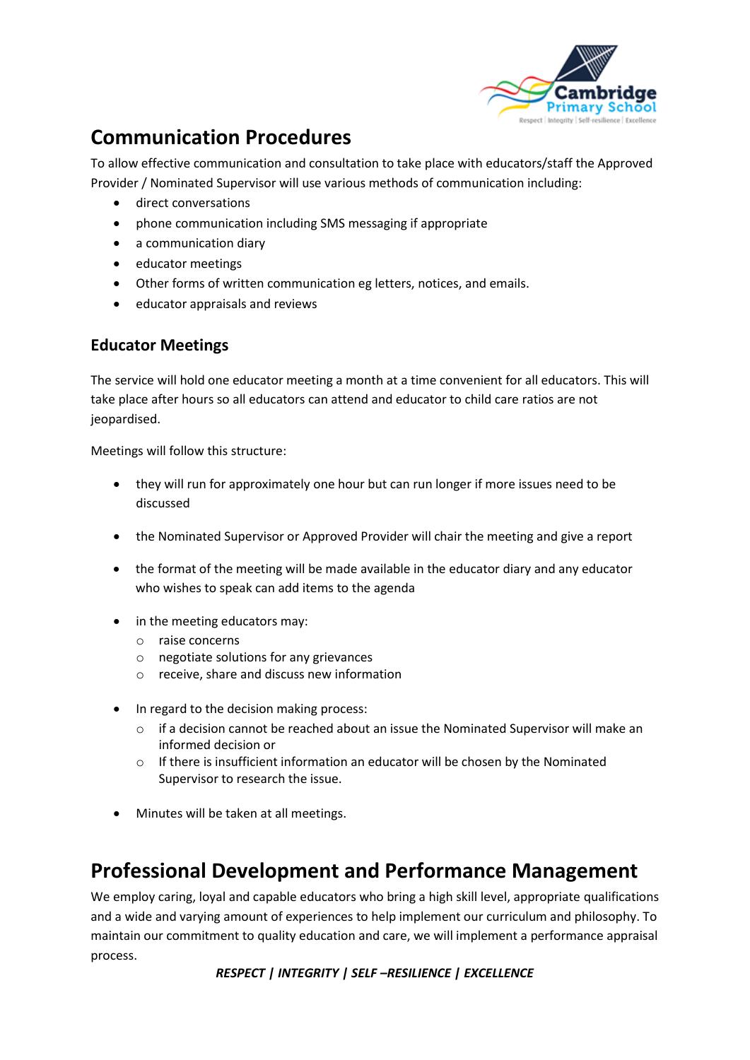

# **Communication Procedures**

To allow effective communication and consultation to take place with educators/staff the Approved Provider / Nominated Supervisor will use various methods of communication including:

- direct conversations
- phone communication including SMS messaging if appropriate
- a communication diary
- educator meetings
- Other forms of written communication eg letters, notices, and emails.
- educator appraisals and reviews

### **Educator Meetings**

The service will hold one educator meeting a month at a time convenient for all educators. This will take place after hours so all educators can attend and educator to child care ratios are not jeopardised.

Meetings will follow this structure:

- they will run for approximately one hour but can run longer if more issues need to be discussed
- the Nominated Supervisor or Approved Provider will chair the meeting and give a report
- the format of the meeting will be made available in the educator diary and any educator who wishes to speak can add items to the agenda
- in the meeting educators may:
	- o raise concerns
	- o negotiate solutions for any grievances
	- o receive, share and discuss new information
- In regard to the decision making process:
	- $\circ$  if a decision cannot be reached about an issue the Nominated Supervisor will make an informed decision or
	- $\circ$  If there is insufficient information an educator will be chosen by the Nominated Supervisor to research the issue.
- Minutes will be taken at all meetings.

## **Professional Development and Performance Management**

We employ caring, loyal and capable educators who bring a high skill level, appropriate qualifications and a wide and varying amount of experiences to help implement our curriculum and philosophy. To maintain our commitment to quality education and care, we will implement a performance appraisal process.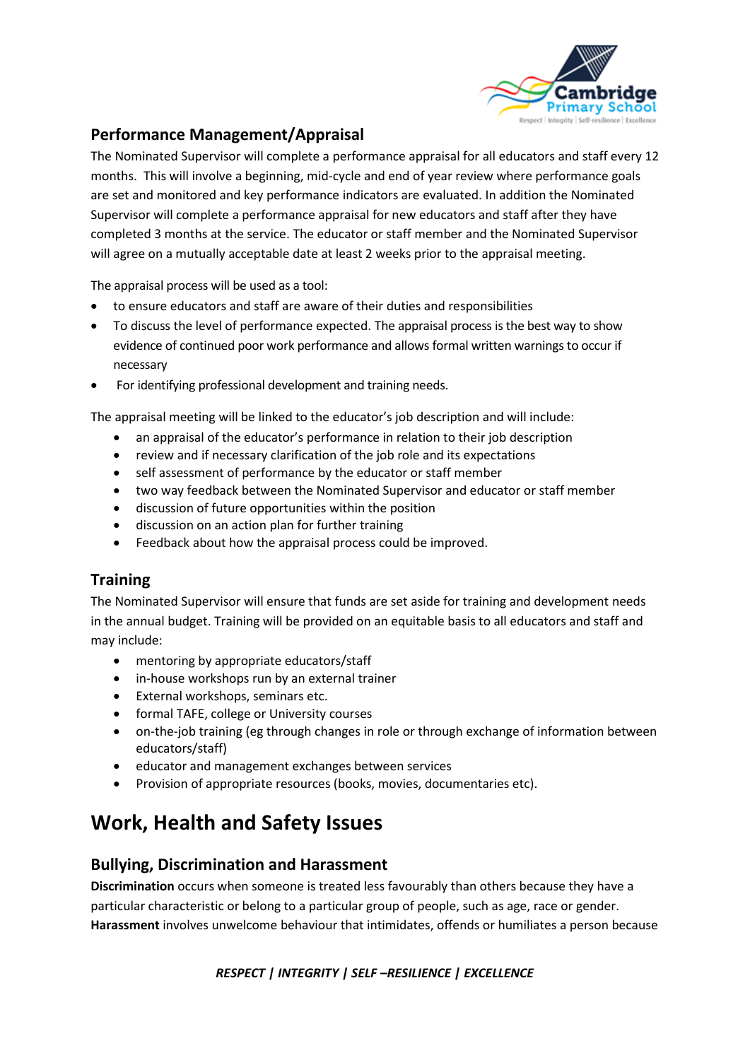

### **Performance Management/Appraisal**

The Nominated Supervisor will complete a performance appraisal for all educators and staff every 12 months. This will involve a beginning, mid-cycle and end of year review where performance goals are set and monitored and key performance indicators are evaluated. In addition the Nominated Supervisor will complete a performance appraisal for new educators and staff after they have completed 3 months at the service. The educator or staff member and the Nominated Supervisor will agree on a mutually acceptable date at least 2 weeks prior to the appraisal meeting.

The appraisal process will be used as a tool:

- to ensure educators and staff are aware of their duties and responsibilities
- To discuss the level of performance expected. The appraisal process is the best way to show evidence of continued poor work performance and allows formal written warnings to occur if necessary
- For identifying professional development and training needs.

The appraisal meeting will be linked to the educator's job description and will include:

- an appraisal of the educator's performance in relation to their job description
- review and if necessary clarification of the job role and its expectations
- self assessment of performance by the educator or staff member
- two way feedback between the Nominated Supervisor and educator or staff member
- discussion of future opportunities within the position
- discussion on an action plan for further training
- Feedback about how the appraisal process could be improved.

### **Training**

The Nominated Supervisor will ensure that funds are set aside for training and development needs in the annual budget. Training will be provided on an equitable basis to all educators and staff and may include:

- mentoring by appropriate educators/staff
- in-house workshops run by an external trainer
- External workshops, seminars etc.
- formal TAFE, college or University courses
- on-the-job training (eg through changes in role or through exchange of information between educators/staff)
- educator and management exchanges between services
- Provision of appropriate resources (books, movies, documentaries etc).

# **Work, Health and Safety Issues**

### **Bullying, Discrimination and Harassment**

**Discrimination** occurs when someone is treated less favourably than others because they have a particular characteristic or belong to a particular group of people, such as age, race or gender. **Harassment** involves unwelcome behaviour that intimidates, offends or humiliates a person because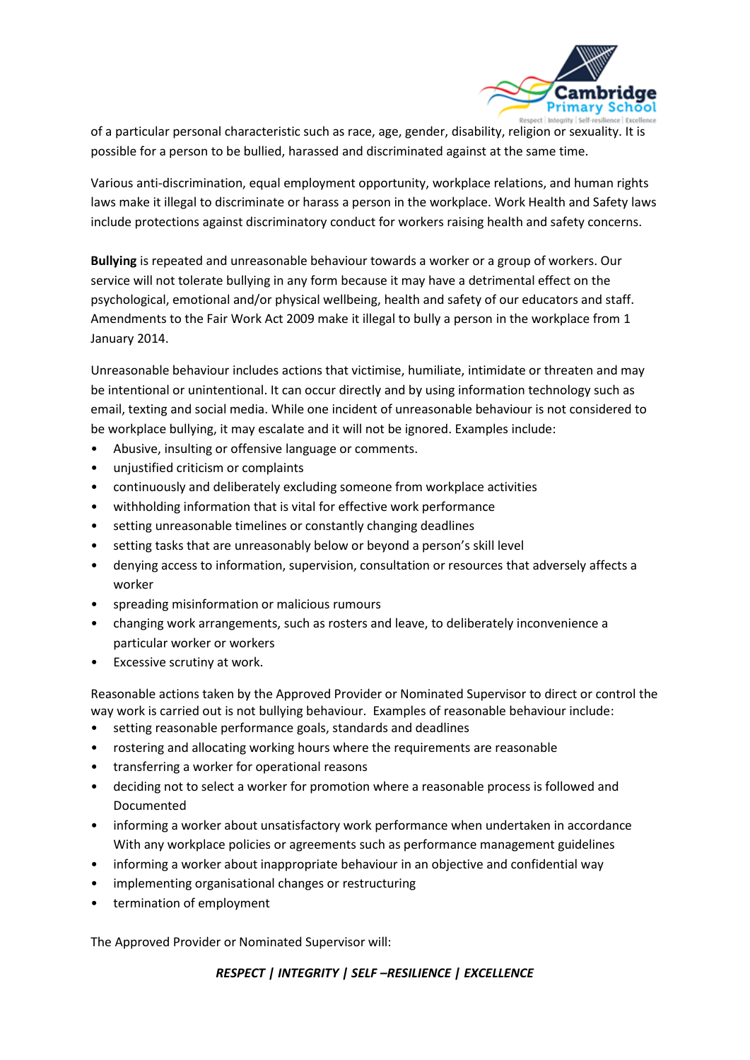

of a particular personal characteristic such as race, age, gender, disability, religion or sexuality. It is possible for a person to be bullied, harassed and discriminated against at the same time.

Various anti-discrimination, equal employment opportunity, workplace relations, and human rights laws make it illegal to discriminate or harass a person in the workplace. Work Health and Safety laws include protections against discriminatory conduct for workers raising health and safety concerns.

**Bullying** is repeated and unreasonable behaviour towards a worker or a group of workers. Our service will not tolerate bullying in any form because it may have a detrimental effect on the psychological, emotional and/or physical wellbeing, health and safety of our educators and staff. Amendments to the Fair Work Act 2009 make it illegal to bully a person in the workplace from 1 January 2014.

Unreasonable behaviour includes actions that victimise, humiliate, intimidate or threaten and may be intentional or unintentional. It can occur directly and by using information technology such as email, texting and social media. While one incident of unreasonable behaviour is not considered to be workplace bullying, it may escalate and it will not be ignored. Examples include:

- Abusive, insulting or offensive language or comments.
- unjustified criticism or complaints
- continuously and deliberately excluding someone from workplace activities
- withholding information that is vital for effective work performance
- setting unreasonable timelines or constantly changing deadlines
- setting tasks that are unreasonably below or beyond a person's skill level
- denying access to information, supervision, consultation or resources that adversely affects a worker
- spreading misinformation or malicious rumours
- changing work arrangements, such as rosters and leave, to deliberately inconvenience a particular worker or workers
- Excessive scrutiny at work.

Reasonable actions taken by the Approved Provider or Nominated Supervisor to direct or control the way work is carried out is not bullying behaviour. Examples of reasonable behaviour include:

- setting reasonable performance goals, standards and deadlines
- rostering and allocating working hours where the requirements are reasonable
- transferring a worker for operational reasons
- deciding not to select a worker for promotion where a reasonable process is followed and Documented
- informing a worker about unsatisfactory work performance when undertaken in accordance With any workplace policies or agreements such as performance management guidelines
- informing a worker about inappropriate behaviour in an objective and confidential way
- implementing organisational changes or restructuring
- termination of employment

The Approved Provider or Nominated Supervisor will: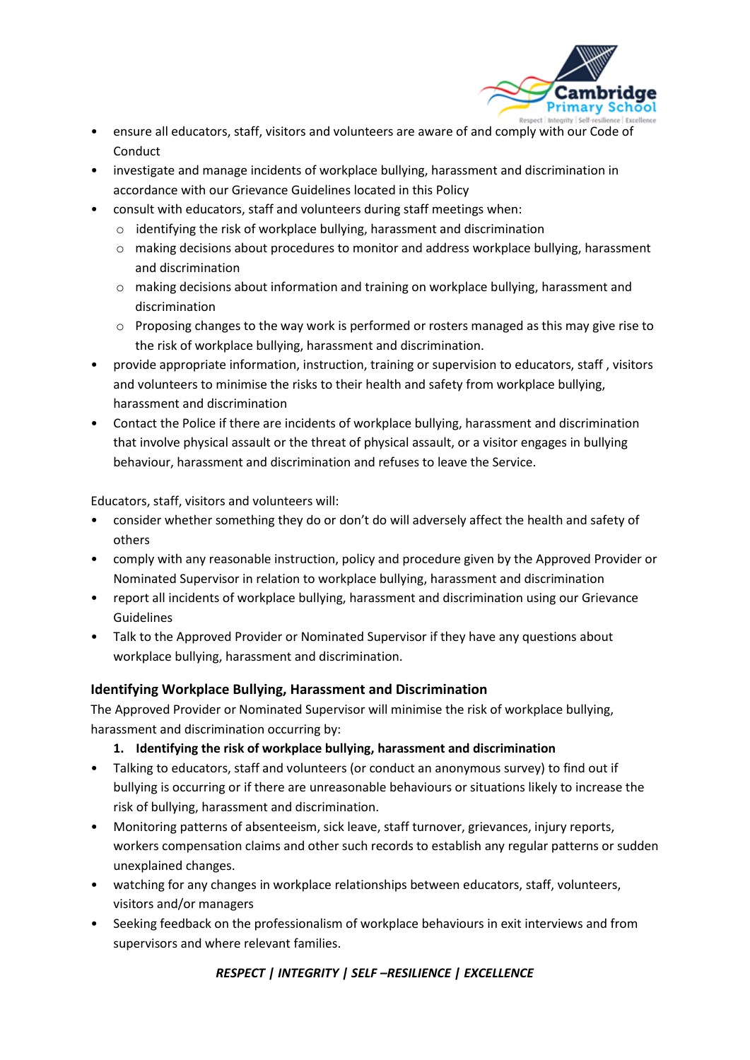

- ensure all educators, staff, visitors and volunteers are aware of and comply with our Code of Conduct
- investigate and manage incidents of workplace bullying, harassment and discrimination in accordance with our Grievance Guidelines located in this Policy
- consult with educators, staff and volunteers during staff meetings when:
	- o identifying the risk of workplace bullying, harassment and discrimination
	- o making decisions about procedures to monitor and address workplace bullying, harassment and discrimination
	- o making decisions about information and training on workplace bullying, harassment and discrimination
	- $\circ$  Proposing changes to the way work is performed or rosters managed as this may give rise to the risk of workplace bullying, harassment and discrimination.
- provide appropriate information, instruction, training or supervision to educators, staff , visitors and volunteers to minimise the risks to their health and safety from workplace bullying, harassment and discrimination
- Contact the Police if there are incidents of workplace bullying, harassment and discrimination that involve physical assault or the threat of physical assault, or a visitor engages in bullying behaviour, harassment and discrimination and refuses to leave the Service.

Educators, staff, visitors and volunteers will:

- consider whether something they do or don't do will adversely affect the health and safety of others
- comply with any reasonable instruction, policy and procedure given by the Approved Provider or Nominated Supervisor in relation to workplace bullying, harassment and discrimination
- report all incidents of workplace bullying, harassment and discrimination using our Grievance Guidelines
- Talk to the Approved Provider or Nominated Supervisor if they have any questions about workplace bullying, harassment and discrimination.

#### **Identifying Workplace Bullying, Harassment and Discrimination**

The Approved Provider or Nominated Supervisor will minimise the risk of workplace bullying, harassment and discrimination occurring by:

#### **1. Identifying the risk of workplace bullying, harassment and discrimination**

- Talking to educators, staff and volunteers (or conduct an anonymous survey) to find out if bullying is occurring or if there are unreasonable behaviours or situations likely to increase the risk of bullying, harassment and discrimination.
- Monitoring patterns of absenteeism, sick leave, staff turnover, grievances, injury reports, workers compensation claims and other such records to establish any regular patterns or sudden unexplained changes.
- watching for any changes in workplace relationships between educators, staff, volunteers, visitors and/or managers
- Seeking feedback on the professionalism of workplace behaviours in exit interviews and from supervisors and where relevant families.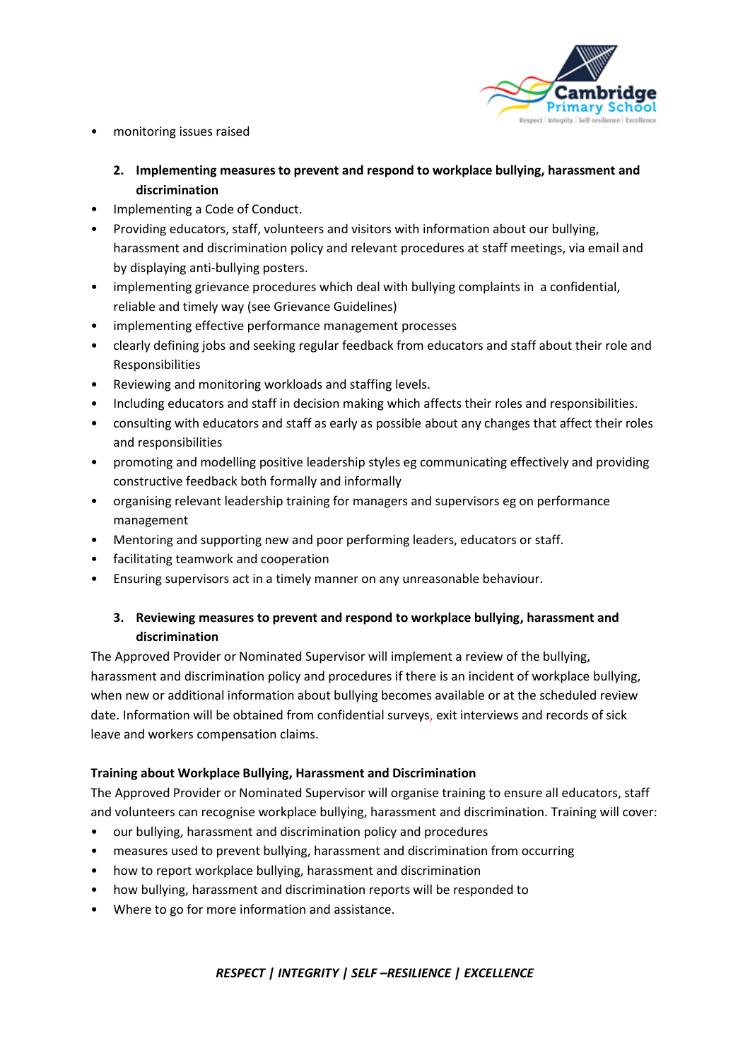

- monitoring issues raised
	- **2. Implementing measures to prevent and respond to workplace bullying, harassment and discrimination**
- Implementing a Code of Conduct.
- Providing educators, staff, volunteers and visitors with information about our bullying, harassment and discrimination policy and relevant procedures at staff meetings, via email and by displaying anti-bullying posters.
- implementing grievance procedures which deal with bullying complaints in a confidential, reliable and timely way (see Grievance Guidelines)
- implementing effective performance management processes
- clearly defining jobs and seeking regular feedback from educators and staff about their role and Responsibilities
- Reviewing and monitoring workloads and staffing levels.
- Including educators and staff in decision making which affects their roles and responsibilities.
- consulting with educators and staff as early as possible about any changes that affect their roles and responsibilities
- promoting and modelling positive leadership styles eg communicating effectively and providing constructive feedback both formally and informally
- organising relevant leadership training for managers and supervisors eg on performance management
- Mentoring and supporting new and poor performing leaders, educators or staff.
- facilitating teamwork and cooperation
- Ensuring supervisors act in a timely manner on any unreasonable behaviour.

#### **3. Reviewing measures to prevent and respond to workplace bullying, harassment and discrimination**

The Approved Provider or Nominated Supervisor will implement a review of the bullying, harassment and discrimination policy and procedures if there is an incident of workplace bullying, when new or additional information about bullying becomes available or at the scheduled review date. Information will be obtained from confidential surveys, exit interviews and records of sick leave and workers compensation claims.

#### **Training about Workplace Bullying, Harassment and Discrimination**

The Approved Provider or Nominated Supervisor will organise training to ensure all educators, staff and volunteers can recognise workplace bullying, harassment and discrimination. Training will cover:

- our bullying, harassment and discrimination policy and procedures
- measures used to prevent bullying, harassment and discrimination from occurring
- how to report workplace bullying, harassment and discrimination
- how bullying, harassment and discrimination reports will be responded to
- Where to go for more information and assistance.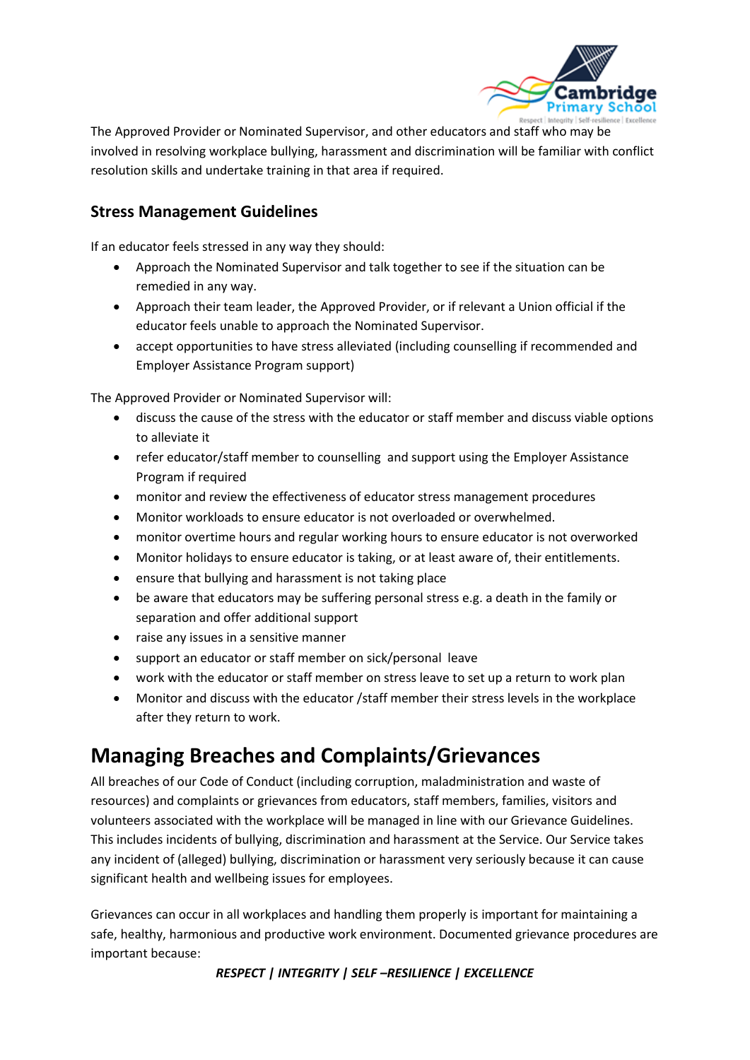

The Approved Provider or Nominated Supervisor, and other educators and staff who may be involved in resolving workplace bullying, harassment and discrimination will be familiar with conflict resolution skills and undertake training in that area if required.

### **Stress Management Guidelines**

If an educator feels stressed in any way they should:

- Approach the Nominated Supervisor and talk together to see if the situation can be remedied in any way.
- Approach their team leader, the Approved Provider, or if relevant a Union official if the educator feels unable to approach the Nominated Supervisor.
- accept opportunities to have stress alleviated (including counselling if recommended and Employer Assistance Program support)

The Approved Provider or Nominated Supervisor will:

- discuss the cause of the stress with the educator or staff member and discuss viable options to alleviate it
- refer educator/staff member to counselling and support using the Employer Assistance Program if required
- monitor and review the effectiveness of educator stress management procedures
- Monitor workloads to ensure educator is not overloaded or overwhelmed.
- monitor overtime hours and regular working hours to ensure educator is not overworked
- Monitor holidays to ensure educator is taking, or at least aware of, their entitlements.
- ensure that bullying and harassment is not taking place
- be aware that educators may be suffering personal stress e.g. a death in the family or separation and offer additional support
- raise any issues in a sensitive manner
- support an educator or staff member on sick/personal leave
- work with the educator or staff member on stress leave to set up a return to work plan
- Monitor and discuss with the educator /staff member their stress levels in the workplace after they return to work.

# **Managing Breaches and Complaints/Grievances**

All breaches of our Code of Conduct (including corruption, maladministration and waste of resources) and complaints or grievances from educators, staff members, families, visitors and volunteers associated with the workplace will be managed in line with our Grievance Guidelines. This includes incidents of bullying, discrimination and harassment at the Service. Our Service takes any incident of (alleged) bullying, discrimination or harassment very seriously because it can cause significant health and wellbeing issues for employees.

Grievances can occur in all workplaces and handling them properly is important for maintaining a safe, healthy, harmonious and productive work environment. Documented grievance procedures are important because: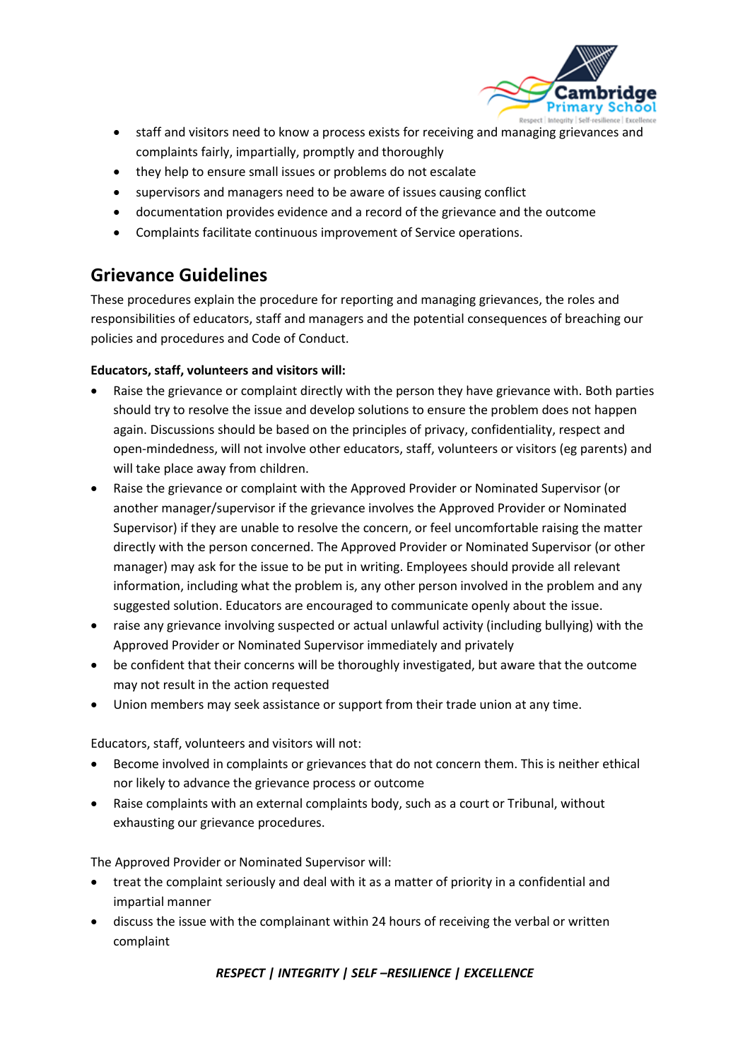

- staff and visitors need to know a process exists for receiving and managing grievances and complaints fairly, impartially, promptly and thoroughly
- they help to ensure small issues or problems do not escalate
- supervisors and managers need to be aware of issues causing conflict
- documentation provides evidence and a record of the grievance and the outcome
- Complaints facilitate continuous improvement of Service operations.

## **Grievance Guidelines**

These procedures explain the procedure for reporting and managing grievances, the roles and responsibilities of educators, staff and managers and the potential consequences of breaching our policies and procedures and Code of Conduct.

#### **Educators, staff, volunteers and visitors will:**

- Raise the grievance or complaint directly with the person they have grievance with. Both parties should try to resolve the issue and develop solutions to ensure the problem does not happen again. Discussions should be based on the principles of privacy, confidentiality, respect and open-mindedness, will not involve other educators, staff, volunteers or visitors (eg parents) and will take place away from children.
- Raise the grievance or complaint with the Approved Provider or Nominated Supervisor (or another manager/supervisor if the grievance involves the Approved Provider or Nominated Supervisor) if they are unable to resolve the concern, or feel uncomfortable raising the matter directly with the person concerned. The Approved Provider or Nominated Supervisor (or other manager) may ask for the issue to be put in writing. Employees should provide all relevant information, including what the problem is, any other person involved in the problem and any suggested solution. Educators are encouraged to communicate openly about the issue.
- raise any grievance involving suspected or actual unlawful activity (including bullying) with the Approved Provider or Nominated Supervisor immediately and privately
- be confident that their concerns will be thoroughly investigated, but aware that the outcome may not result in the action requested
- Union members may seek assistance or support from their trade union at any time.

Educators, staff, volunteers and visitors will not:

- Become involved in complaints or grievances that do not concern them. This is neither ethical nor likely to advance the grievance process or outcome
- Raise complaints with an external complaints body, such as a court or Tribunal, without exhausting our grievance procedures.

The Approved Provider or Nominated Supervisor will:

- treat the complaint seriously and deal with it as a matter of priority in a confidential and impartial manner
- discuss the issue with the complainant within 24 hours of receiving the verbal or written complaint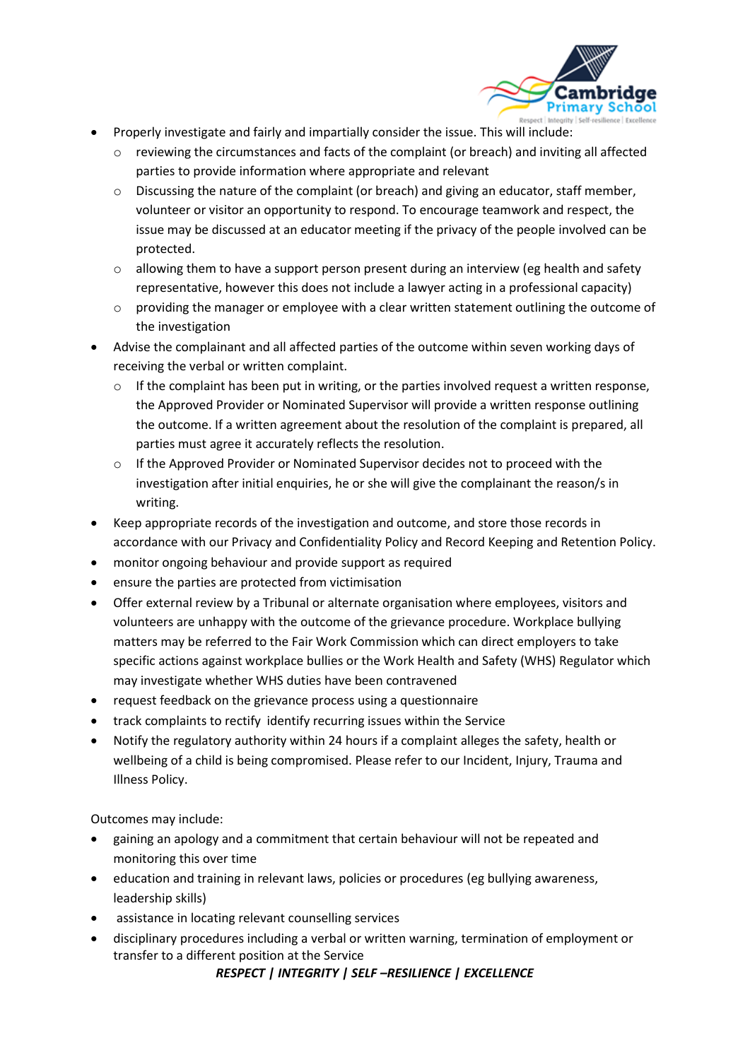

- Properly investigate and fairly and impartially consider the issue. This will include:
	- o reviewing the circumstances and facts of the complaint (or breach) and inviting all affected parties to provide information where appropriate and relevant
	- $\circ$  Discussing the nature of the complaint (or breach) and giving an educator, staff member, volunteer or visitor an opportunity to respond. To encourage teamwork and respect, the issue may be discussed at an educator meeting if the privacy of the people involved can be protected.
	- $\circ$  allowing them to have a support person present during an interview (eg health and safety representative, however this does not include a lawyer acting in a professional capacity)
	- $\circ$  providing the manager or employee with a clear written statement outlining the outcome of the investigation
- Advise the complainant and all affected parties of the outcome within seven working days of receiving the verbal or written complaint.
	- $\circ$  If the complaint has been put in writing, or the parties involved request a written response, the Approved Provider or Nominated Supervisor will provide a written response outlining the outcome. If a written agreement about the resolution of the complaint is prepared, all parties must agree it accurately reflects the resolution.
	- o If the Approved Provider or Nominated Supervisor decides not to proceed with the investigation after initial enquiries, he or she will give the complainant the reason/s in writing.
- Keep appropriate records of the investigation and outcome, and store those records in accordance with our Privacy and Confidentiality Policy and Record Keeping and Retention Policy.
- monitor ongoing behaviour and provide support as required
- ensure the parties are protected from victimisation
- Offer external review by a Tribunal or alternate organisation where employees, visitors and volunteers are unhappy with the outcome of the grievance procedure. Workplace bullying matters may be referred to the Fair Work Commission which can direct employers to take specific actions against workplace bullies or the Work Health and Safety (WHS) Regulator which may investigate whether WHS duties have been contravened
- request feedback on the grievance process using a questionnaire
- track complaints to rectify identify recurring issues within the Service
- Notify the regulatory authority within 24 hours if a complaint alleges the safety, health or wellbeing of a child is being compromised. Please refer to our Incident, Injury, Trauma and Illness Policy.

Outcomes may include:

- gaining an apology and a commitment that certain behaviour will not be repeated and monitoring this over time
- education and training in relevant laws, policies or procedures (eg bullying awareness, leadership skills)
- assistance in locating relevant counselling services
- disciplinary procedures including a verbal or written warning, termination of employment or transfer to a different position at the Service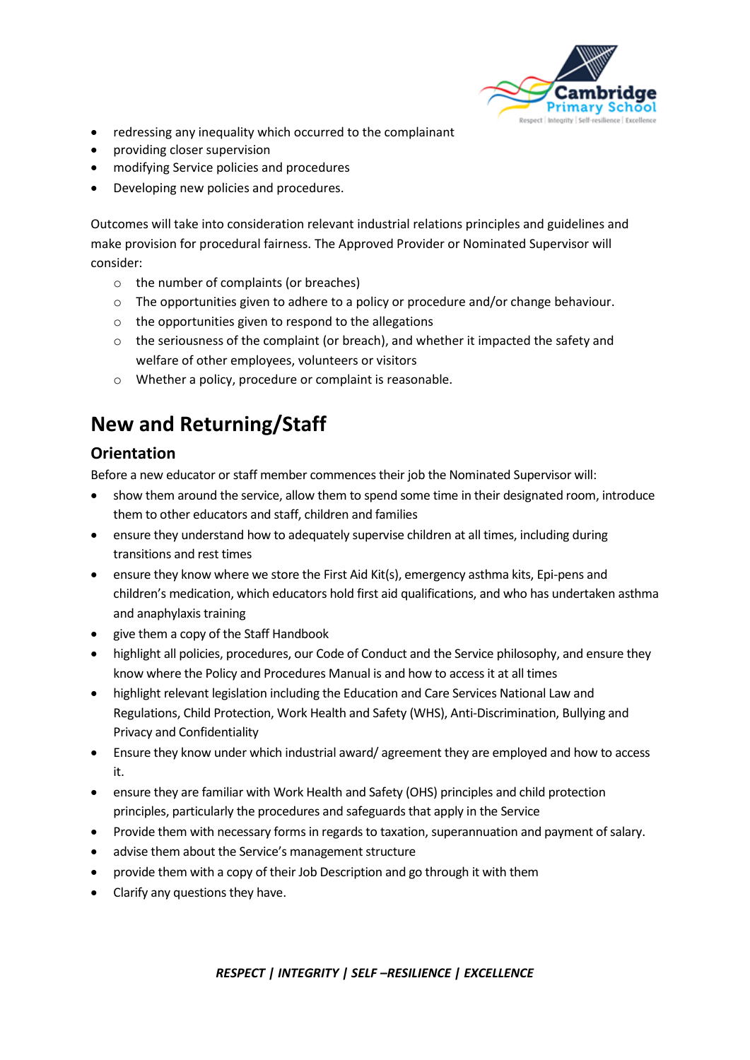

- redressing any inequality which occurred to the complainant
- providing closer supervision
- modifying Service policies and procedures
- Developing new policies and procedures.

Outcomes will take into consideration relevant industrial relations principles and guidelines and make provision for procedural fairness. The Approved Provider or Nominated Supervisor will consider:

- o the number of complaints (or breaches)
- $\circ$  The opportunities given to adhere to a policy or procedure and/or change behaviour.
- o the opportunities given to respond to the allegations
- $\circ$  the seriousness of the complaint (or breach), and whether it impacted the safety and welfare of other employees, volunteers or visitors
- o Whether a policy, procedure or complaint is reasonable.

# **New and Returning/Staff**

### **Orientation**

Before a new educator or staff member commences their job the Nominated Supervisor will:

- show them around the service, allow them to spend some time in their designated room, introduce them to other educators and staff, children and families
- ensure they understand how to adequately supervise children at all times, including during transitions and rest times
- ensure they know where we store the First Aid Kit(s), emergency asthma kits, Epi-pens and children's medication, which educators hold first aid qualifications, and who has undertaken asthma and anaphylaxis training
- give them a copy of the Staff Handbook
- highlight all policies, procedures, our Code of Conduct and the Service philosophy, and ensure they know where the Policy and Procedures Manual is and how to access it at all times
- highlight relevant legislation including the Education and Care Services National Law and Regulations, Child Protection, Work Health and Safety (WHS), Anti-Discrimination, Bullying and Privacy and Confidentiality
- Ensure they know under which industrial award/ agreement they are employed and how to access it.
- ensure they are familiar with Work Health and Safety (OHS) principles and child protection principles, particularly the procedures and safeguards that apply in the Service
- Provide them with necessary forms in regards to taxation, superannuation and payment of salary.
- advise them about the Service's management structure
- provide them with a copy of their Job Description and go through it with them
- Clarify any questions they have.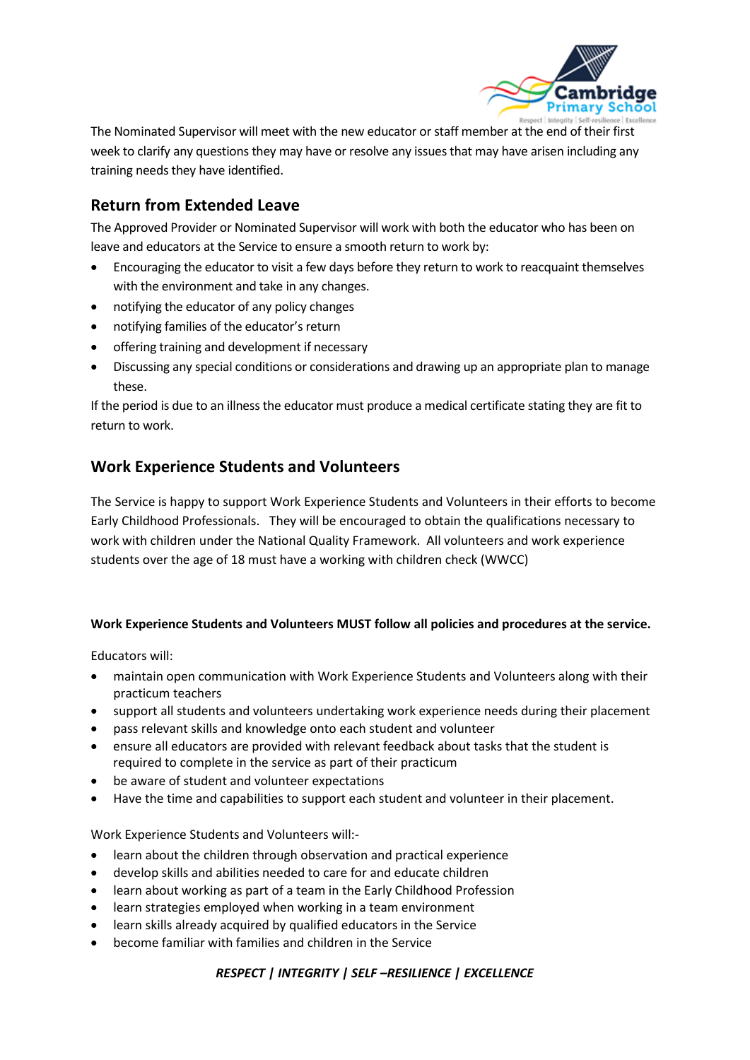

The Nominated Supervisor will meet with the new educator or staff member at the end of their first week to clarify any questions they may have or resolve any issues that may have arisen including any training needs they have identified.

### **Return from Extended Leave**

The Approved Provider or Nominated Supervisor will work with both the educator who has been on leave and educators at the Service to ensure a smooth return to work by:

- Encouraging the educator to visit a few days before they return to work to reacquaint themselves with the environment and take in any changes.
- notifying the educator of any policy changes
- notifying families of the educator's return
- offering training and development if necessary
- Discussing any special conditions or considerations and drawing up an appropriate plan to manage these.

If the period is due to an illness the educator must produce a medical certificate stating they are fit to return to work.

### **Work Experience Students and Volunteers**

The Service is happy to support Work Experience Students and Volunteers in their efforts to become Early Childhood Professionals. They will be encouraged to obtain the qualifications necessary to work with children under the National Quality Framework. All volunteers and work experience students over the age of 18 must have a working with children check (WWCC)

#### **Work Experience Students and Volunteers MUST follow all policies and procedures at the service.**

Educators will:

- maintain open communication with Work Experience Students and Volunteers along with their practicum teachers
- support all students and volunteers undertaking work experience needs during their placement
- pass relevant skills and knowledge onto each student and volunteer
- ensure all educators are provided with relevant feedback about tasks that the student is required to complete in the service as part of their practicum
- be aware of student and volunteer expectations
- Have the time and capabilities to support each student and volunteer in their placement.

Work Experience Students and Volunteers will:-

- learn about the children through observation and practical experience
- develop skills and abilities needed to care for and educate children
- learn about working as part of a team in the Early Childhood Profession
- learn strategies employed when working in a team environment
- learn skills already acquired by qualified educators in the Service
- become familiar with families and children in the Service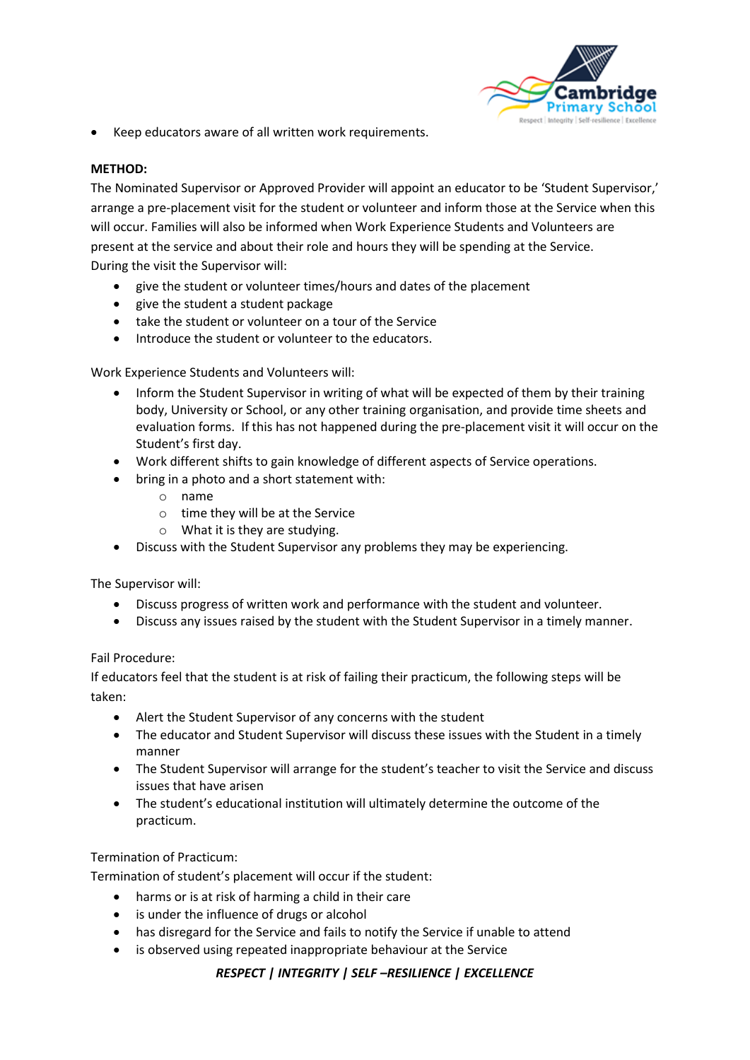

• Keep educators aware of all written work requirements.

#### **METHOD:**

The Nominated Supervisor or Approved Provider will appoint an educator to be 'Student Supervisor,' arrange a pre-placement visit for the student or volunteer and inform those at the Service when this will occur. Families will also be informed when Work Experience Students and Volunteers are present at the service and about their role and hours they will be spending at the Service. During the visit the Supervisor will:

- give the student or volunteer times/hours and dates of the placement
- give the student a student package
- take the student or volunteer on a tour of the Service
- Introduce the student or volunteer to the educators.

Work Experience Students and Volunteers will:

- Inform the Student Supervisor in writing of what will be expected of them by their training body, University or School, or any other training organisation, and provide time sheets and evaluation forms. If this has not happened during the pre-placement visit it will occur on the Student's first day.
- Work different shifts to gain knowledge of different aspects of Service operations.
- bring in a photo and a short statement with:
	- o name
	- o time they will be at the Service
	- o What it is they are studying.
- Discuss with the Student Supervisor any problems they may be experiencing.

The Supervisor will:

- Discuss progress of written work and performance with the student and volunteer.
- Discuss any issues raised by the student with the Student Supervisor in a timely manner.

#### Fail Procedure:

If educators feel that the student is at risk of failing their practicum, the following steps will be taken:

- Alert the Student Supervisor of any concerns with the student
- The educator and Student Supervisor will discuss these issues with the Student in a timely manner
- The Student Supervisor will arrange for the student's teacher to visit the Service and discuss issues that have arisen
- The student's educational institution will ultimately determine the outcome of the practicum.

#### Termination of Practicum:

Termination of student's placement will occur if the student:

- harms or is at risk of harming a child in their care
- is under the influence of drugs or alcohol
- has disregard for the Service and fails to notify the Service if unable to attend
- is observed using repeated inappropriate behaviour at the Service